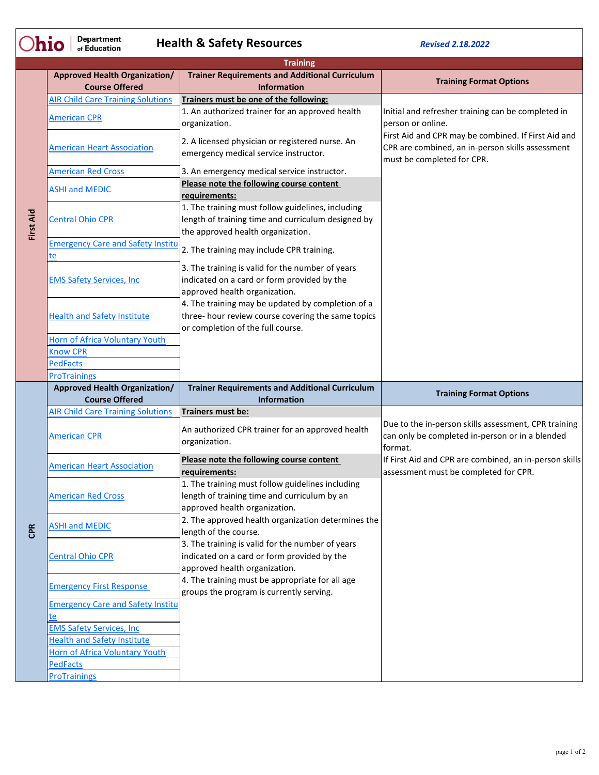|            | <b>Department</b><br>hio<br>of Education                      | <b>Health &amp; Safety Resources</b>                                                                                                         | <b>Revised 2.18.2022</b>                                                                                                              |
|------------|---------------------------------------------------------------|----------------------------------------------------------------------------------------------------------------------------------------------|---------------------------------------------------------------------------------------------------------------------------------------|
|            |                                                               | <b>Training</b>                                                                                                                              |                                                                                                                                       |
| First Aid  | <b>Approved Health Organization/</b><br><b>Course Offered</b> | <b>Trainer Requirements and Additional Curriculum</b><br><b>Information</b>                                                                  | <b>Training Format Options</b>                                                                                                        |
|            | <b>AIR Child Care Training Solutions</b>                      | Trainers must be one of the following:                                                                                                       |                                                                                                                                       |
|            | <b>American CPR</b>                                           | 1. An authorized trainer for an approved health<br>organization.                                                                             | Initial and refresher training can be completed in<br>person or online.                                                               |
|            | <b>American Heart Association</b>                             | 2. A licensed physician or registered nurse. An<br>emergency medical service instructor.                                                     | First Aid and CPR may be combined. If First Aid and<br>CPR are combined, an in-person skills assessment<br>must be completed for CPR. |
|            | <b>American Red Cross</b>                                     | 3. An emergency medical service instructor.                                                                                                  |                                                                                                                                       |
|            | <b>ASHI and MEDIC</b>                                         | Please note the following course content<br>requirements:                                                                                    |                                                                                                                                       |
|            | <b>Central Ohio CPR</b>                                       | 1. The training must follow guidelines, including<br>length of training time and curriculum designed by<br>the approved health organization. |                                                                                                                                       |
|            | <b>Emergency Care and Safety Institu</b><br>te                | 2. The training may include CPR training.                                                                                                    |                                                                                                                                       |
|            | <b>EMS Safety Services, Inc.</b>                              | 3. The training is valid for the number of years<br>indicated on a card or form provided by the<br>approved health organization.             |                                                                                                                                       |
|            | <b>Health and Safety Institute</b>                            | 4. The training may be updated by completion of a<br>three- hour review course covering the same topics<br>or completion of the full course. |                                                                                                                                       |
|            | <b>Horn of Africa Voluntary Youth</b>                         |                                                                                                                                              |                                                                                                                                       |
|            | <b>Know CPR</b>                                               |                                                                                                                                              |                                                                                                                                       |
|            | <b>PedFacts</b>                                               |                                                                                                                                              |                                                                                                                                       |
|            | <b>ProTrainings</b>                                           |                                                                                                                                              |                                                                                                                                       |
|            | <b>Approved Health Organization/</b><br><b>Course Offered</b> | <b>Trainer Requirements and Additional Curriculum</b><br><b>Information</b>                                                                  | <b>Training Format Options</b>                                                                                                        |
|            | <b>AIR Child Care Training Solutions</b>                      | Trainers must be:                                                                                                                            |                                                                                                                                       |
|            | <b>American CPR</b>                                           | An authorized CPR trainer for an approved health<br>organization.                                                                            | Due to the in-person skills assessment, CPR training<br>can only be completed in-person or in a blended<br>format.                    |
|            |                                                               | Please note the following course content                                                                                                     | If First Aid and CPR are combined, an in-person skills                                                                                |
| <b>CPR</b> | <b>American Heart Association</b>                             | requirements:                                                                                                                                | assessment must be completed for CPR.                                                                                                 |
|            | <b>American Red Cross</b>                                     | 1. The training must follow guidelines including<br>length of training time and curriculum by an<br>approved health organization.            |                                                                                                                                       |
|            | <b>ASHI and MEDIC</b>                                         | 2. The approved health organization determines the<br>length of the course.                                                                  |                                                                                                                                       |
|            | <b>Central Ohio CPR</b>                                       | 3. The training is valid for the number of years<br>indicated on a card or form provided by the<br>approved health organization.             |                                                                                                                                       |
|            | <b>Emergency First Response</b>                               | 4. The training must be appropriate for all age<br>groups the program is currently serving.                                                  |                                                                                                                                       |
|            | <b>Emergency Care and Safety Institu</b>                      |                                                                                                                                              |                                                                                                                                       |
|            | te                                                            |                                                                                                                                              |                                                                                                                                       |
|            | <b>EMS Safety Services, Inc.</b>                              |                                                                                                                                              |                                                                                                                                       |
|            | <b>Health and Safety Institute</b>                            |                                                                                                                                              |                                                                                                                                       |
|            | Horn of Africa Voluntary Youth<br><b>PedFacts</b>             |                                                                                                                                              |                                                                                                                                       |
|            | <b>ProTrainings</b>                                           |                                                                                                                                              |                                                                                                                                       |
|            |                                                               |                                                                                                                                              |                                                                                                                                       |